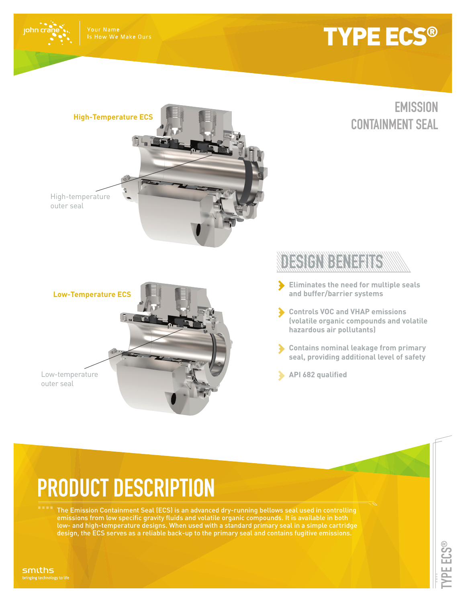

john cra

## TYPE ECS®

### **EMISSION CONTAINMENT SEAL**



**Low-Temperature ECS**

Low-temperature outer seal

### **DESIGNERATION**

- **Eliminates the need for multiple seals and buffer/barrier systems**
- **Controls VOC and VHAP emissions (volatile organic compounds and volatile hazardous air pollutants)**
- **Contains nominal leakage from primary seal, providing additional level of safety**
- **API 682 qualified**

# **PRODUCT DESCRIPTION**

The Emission Containment Seal (ECS) is an advanced dry-running bellows seal used in controlling emissions from low specific gravity fluids and volatile organic compounds. It is available in both low- and high-temperature designs. When used with a standard primary seal in a simple cartridge design, the ECS serves as a reliable back-up to the primary seal and contains fugitive emissions.